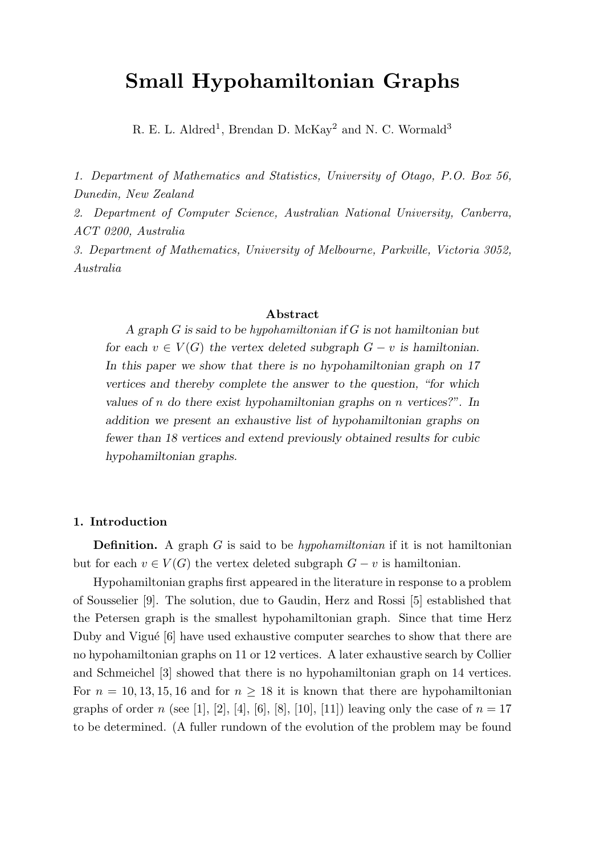# Small Hypohamiltonian Graphs

R. E. L. Aldred<sup>1</sup>, Brendan D. McKay<sup>2</sup> and N. C. Wormald<sup>3</sup>

1. Department of Mathematics and Statistics, University of Otago, P.O. Box 56, Dunedin, New Zealand

2. Department of Computer Science, Australian National University, Canberra, ACT 0200, Australia

3. Department of Mathematics, University of Melbourne, Parkville, Victoria 3052, Australia

#### Abstract

A graph G is said to be hypohamiltonian if G is not hamiltonian but for each  $v \in V(G)$  the vertex deleted subgraph  $G - v$  is hamiltonian. In this paper we show that there is no hypohamiltonian graph on 17 vertices and thereby complete the answer to the question, "for which values of n do there exist hypohamiltonian graphs on n vertices?". In addition we present an exhaustive list of hypohamiltonian graphs on fewer than 18 vertices and extend previously obtained results for cubic hypohamiltonian graphs.

## 1. Introduction

**Definition.** A graph  $G$  is said to be *hypohamiltonian* if it is not hamiltonian but for each  $v \in V(G)$  the vertex deleted subgraph  $G - v$  is hamiltonian.

Hypohamiltonian graphs first appeared in the literature in response to a problem of Sousselier [9]. The solution, due to Gaudin, Herz and Rossi [5] established that the Petersen graph is the smallest hypohamiltonian graph. Since that time Herz Duby and Vigué  $[6]$  have used exhaustive computer searches to show that there are no hypohamiltonian graphs on 11 or 12 vertices. A later exhaustive search by Collier and Schmeichel [3] showed that there is no hypohamiltonian graph on 14 vertices. For  $n = 10, 13, 15, 16$  and for  $n \geq 18$  it is known that there are hypohamiltonian graphs of order n (see [1], [2], [4], [6], [8], [10], [11]) leaving only the case of  $n = 17$ to be determined. (A fuller rundown of the evolution of the problem may be found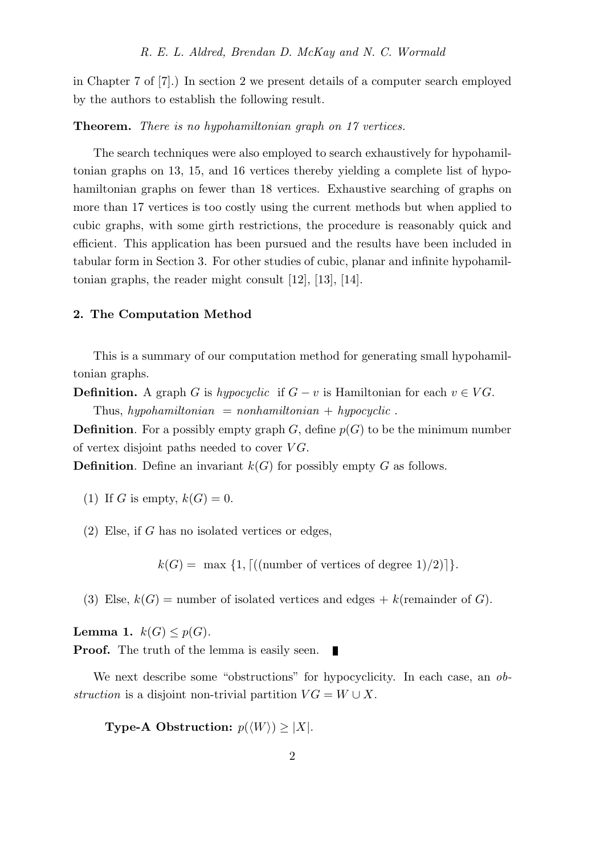in Chapter 7 of [7].) In section 2 we present details of a computer search employed by the authors to establish the following result.

## Theorem. There is no hypohamiltonian graph on 17 vertices.

The search techniques were also employed to search exhaustively for hypohamiltonian graphs on 13, 15, and 16 vertices thereby yielding a complete list of hypohamiltonian graphs on fewer than 18 vertices. Exhaustive searching of graphs on more than 17 vertices is too costly using the current methods but when applied to cubic graphs, with some girth restrictions, the procedure is reasonably quick and efficient. This application has been pursued and the results have been included in tabular form in Section 3. For other studies of cubic, planar and infinite hypohamiltonian graphs, the reader might consult [12], [13], [14].

## 2. The Computation Method

This is a summary of our computation method for generating small hypohamiltonian graphs.

**Definition.** A graph G is hypocyclic if  $G - v$  is Hamiltonian for each  $v \in VG$ .

Thus, hypohamiltonian = nonhamiltonian + hypocyclic.

**Definition**. For a possibly empty graph G, define  $p(G)$  to be the minimum number of vertex disjoint paths needed to cover  $VG$ .

**Definition.** Define an invariant  $k(G)$  for possibly empty G as follows.

- (1) If G is empty,  $k(G) = 0$ .
- (2) Else, if G has no isolated vertices or edges,

 $k(G) = \max\{1, \lceil((\text{number of vertices of degree } 1)/2)\rceil\}.$ 

(3) Else,  $k(G)$  = number of isolated vertices and edges + k(remainder of G).

**Lemma 1.**  $k(G) \leq p(G)$ . Proof. The truth of the lemma is easily seen.  $\blacksquare$ 

We next describe some "obstructions" for hypocyclicity. In each case, an *ob*struction is a disjoint non-trivial partition  $VG = W \cup X$ .

**Type-A Obstruction:**  $p(\langle W \rangle) \geq |X|$ .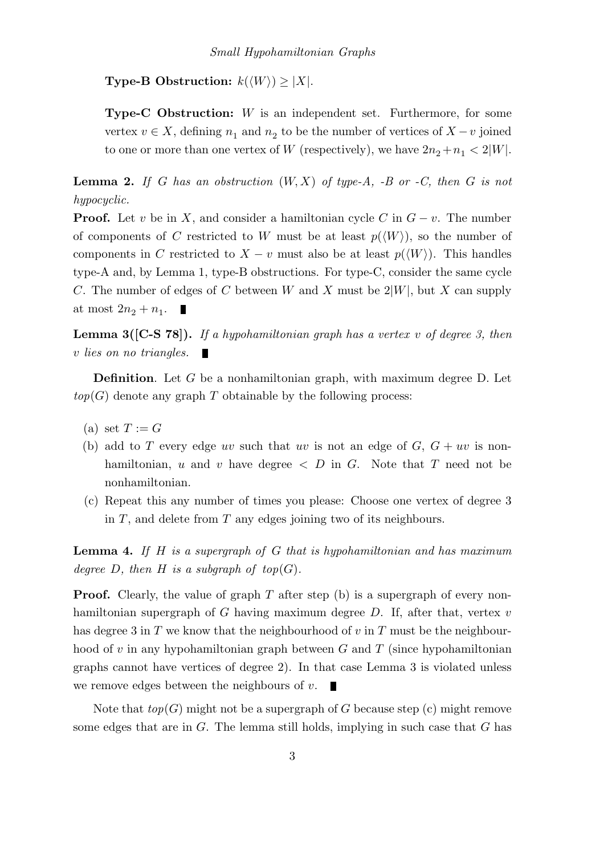**Type-B Obstruction:**  $k(\langle W \rangle) \geq |X|$ .

**Type-C Obstruction:**  $W$  is an independent set. Furthermore, for some vertex  $v \in X$ , defining  $n_1$  and  $n_2$  to be the number of vertices of  $X - v$  joined to one or more than one vertex of W (respectively), we have  $2n_2+n_1 < 2|W|$ .

**Lemma 2.** If G has an obstruction  $(W, X)$  of type-A, -B or -C, then G is not hypocyclic.

**Proof.** Let v be in X, and consider a hamiltonian cycle C in  $G - v$ . The number of components of C restricted to W must be at least  $p(\langle W \rangle)$ , so the number of components in C restricted to  $X - v$  must also be at least  $p(\langle W \rangle)$ . This handles type-A and, by Lemma 1, type-B obstructions. For type-C, consider the same cycle C. The number of edges of C between W and X must be  $2|W|$ , but X can supply at most  $2n_2 + n_1$ . П

**Lemma 3([C-S 78]).** If a hypohamiltonian graph has a vertex v of degree 3, then v lies on no triangles. Г

Definition. Let G be a nonhamiltonian graph, with maximum degree D. Let  $top(G)$  denote any graph T obtainable by the following process:

- (a) set  $T := G$
- (b) add to T every edge uv such that uv is not an edge of  $G, G + uv$  is nonhamiltonian, u and v have degree  $\langle D \rangle$  in G. Note that T need not be nonhamiltonian.
- (c) Repeat this any number of times you please: Choose one vertex of degree 3 in  $T$ , and delete from  $T$  any edges joining two of its neighbours.

**Lemma 4.** If  $H$  is a supergraph of  $G$  that is hypohamiltonian and has maximum degree D, then H is a subgraph of top $(G)$ .

**Proof.** Clearly, the value of graph  $T$  after step (b) is a supergraph of every nonhamiltonian supergraph of  $G$  having maximum degree  $D$ . If, after that, vertex  $v$ has degree 3 in  $T$  we know that the neighbourhood of  $v$  in  $T$  must be the neighbourhood of  $v$  in any hypohamiltonian graph between  $G$  and  $T$  (since hypohamiltonian graphs cannot have vertices of degree 2). In that case Lemma 3 is violated unless we remove edges between the neighbours of  $v$ .

Note that  $top(G)$  might not be a supergraph of G because step (c) might remove some edges that are in  $G$ . The lemma still holds, implying in such case that  $G$  has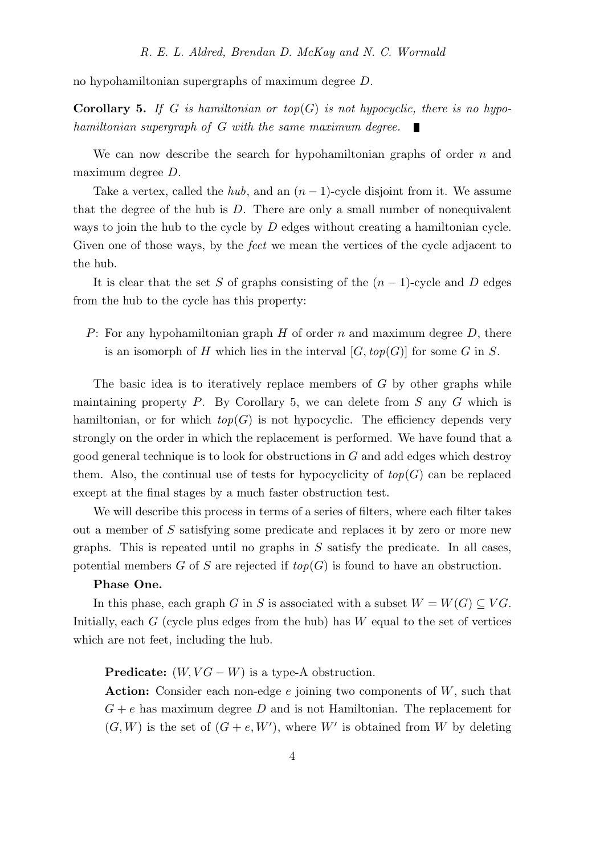no hypohamiltonian supergraphs of maximum degree D.

**Corollary 5.** If G is hamiltonian or top(G) is not hypocyclic, there is no hypohamiltonian supergraph of G with the same maximum degree.

We can now describe the search for hypohamiltonian graphs of order  $n$  and maximum degree D.

Take a vertex, called the *hub*, and an  $(n-1)$ -cycle disjoint from it. We assume that the degree of the hub is D. There are only a small number of nonequivalent ways to join the hub to the cycle by D edges without creating a hamiltonian cycle. Given one of those ways, by the *feet* we mean the vertices of the cycle adjacent to the hub.

It is clear that the set S of graphs consisting of the  $(n-1)$ -cycle and D edges from the hub to the cycle has this property:

P: For any hypohamiltonian graph H of order n and maximum degree  $D$ , there is an isomorph of H which lies in the interval  $[G, top(G)]$  for some G in S.

The basic idea is to iteratively replace members of  $G$  by other graphs while maintaining property  $P$ . By Corollary 5, we can delete from  $S$  any  $G$  which is hamiltonian, or for which  $top(G)$  is not hypocyclic. The efficiency depends very strongly on the order in which the replacement is performed. We have found that a good general technique is to look for obstructions in  $G$  and add edges which destroy them. Also, the continual use of tests for hypocyclicity of  $top(G)$  can be replaced except at the final stages by a much faster obstruction test.

We will describe this process in terms of a series of filters, where each filter takes out a member of S satisfying some predicate and replaces it by zero or more new graphs. This is repeated until no graphs in  $S$  satisfy the predicate. In all cases, potential members G of S are rejected if  $top(G)$  is found to have an obstruction.

# Phase One.

In this phase, each graph G in S is associated with a subset  $W = W(G) \subseteq VG$ . Initially, each  $G$  (cycle plus edges from the hub) has  $W$  equal to the set of vertices which are not feet, including the hub.

**Predicate:**  $(W, VG - W)$  is a type-A obstruction.

**Action:** Consider each non-edge  $e$  joining two components of  $W$ , such that  $G + e$  has maximum degree D and is not Hamiltonian. The replacement for  $(G, W)$  is the set of  $(G + e, W')$ , where W' is obtained from W by deleting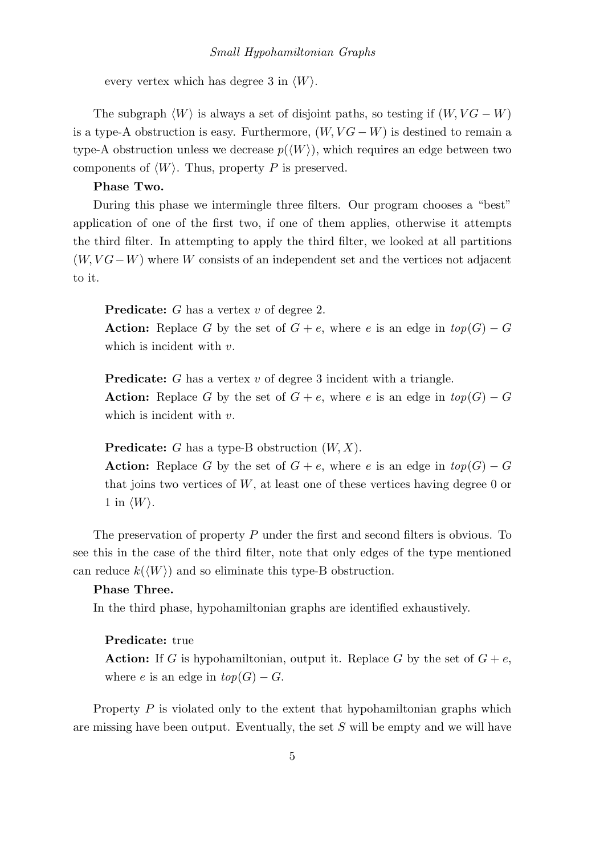# Small Hypohamiltonian Graphs

every vertex which has degree 3 in  $\langle W \rangle$ .

The subgraph  $\langle W \rangle$  is always a set of disjoint paths, so testing if  $(W, VG - W)$ is a type-A obstruction is easy. Furthermore,  $(W, VG - W)$  is destined to remain a type-A obstruction unless we decrease  $p(\langle W \rangle)$ , which requires an edge between two components of  $\langle W \rangle$ . Thus, property P is preserved.

## Phase Two.

During this phase we intermingle three filters. Our program chooses a "best" application of one of the first two, if one of them applies, otherwise it attempts the third filter. In attempting to apply the third filter, we looked at all partitions  $(W, VG-W)$  where W consists of an independent set and the vertices not adjacent to it.

Predicate: G has a vertex v of degree 2.

**Action:** Replace G by the set of  $G + e$ , where e is an edge in  $top(G) - G$ which is incident with  $v$ .

Predicate: G has a vertex v of degree 3 incident with a triangle.

**Action:** Replace G by the set of  $G + e$ , where e is an edge in  $top(G) - G$ which is incident with  $v$ .

**Predicate:** G has a type-B obstruction  $(W, X)$ .

**Action:** Replace G by the set of  $G + e$ , where e is an edge in  $top(G) - G$ that joins two vertices of  $W$ , at least one of these vertices having degree 0 or 1 in  $\langle W \rangle$ .

The preservation of property P under the first and second filters is obvious. To see this in the case of the third filter, note that only edges of the type mentioned can reduce  $k(\langle W \rangle)$  and so eliminate this type-B obstruction.

## Phase Three.

In the third phase, hypohamiltonian graphs are identified exhaustively.

# Predicate: true

**Action:** If G is hypohamiltonian, output it. Replace G by the set of  $G + e$ , where e is an edge in  $top(G) - G$ .

Property  $P$  is violated only to the extent that hypohamiltonian graphs which are missing have been output. Eventually, the set S will be empty and we will have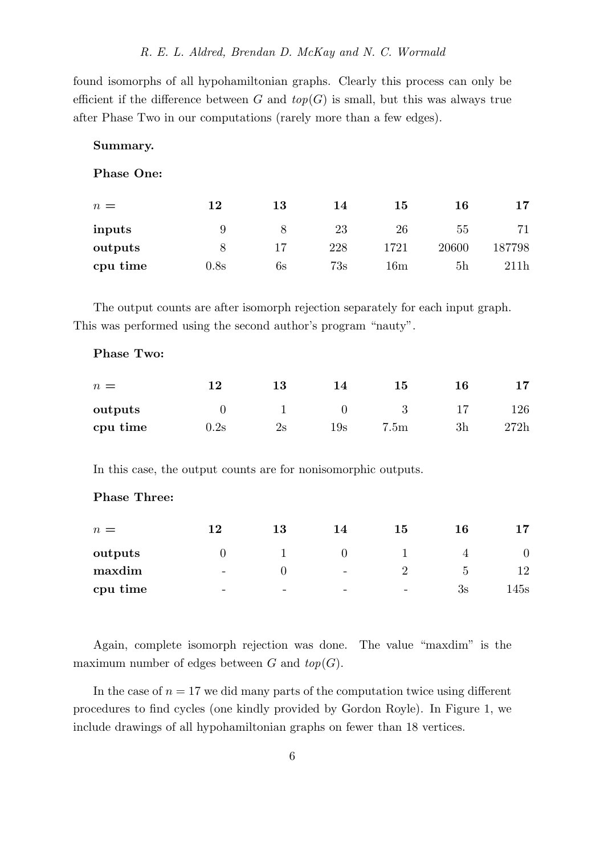found isomorphs of all hypohamiltonian graphs. Clearly this process can only be efficient if the difference between G and  $top(G)$  is small, but this was always true after Phase Two in our computations (rarely more than a few edges).

## Summary.

Phase One:

| $n =$    | 12   | 13 | 14  | 15             | 16    | 17     |
|----------|------|----|-----|----------------|-------|--------|
| inputs   |      |    | 23  | 26             | 55    | 71     |
| outputs  |      |    | 228 | 1721           | 20600 | 187798 |
| cpu time | 0.8s | 6s | 73s | $16\mathrm{m}$ | 5h    | 211h   |

The output counts are after isomorph rejection separately for each input graph. This was performed using the second author's program "nauty".

## Phase Two:

| $n =$    | 12              | 13 | 14             | 15               | 16 | 17   |
|----------|-----------------|----|----------------|------------------|----|------|
| outputs  |                 |    |                |                  |    | 126  |
| cpu time | $0.2\mathrm{s}$ | 2s | $19\mathrm{s}$ | 7.5 <sub>m</sub> | 3h | 272h |

In this case, the output counts are for nonisomorphic outputs.

# Phase Three:

| $n =$    | 12                       | 13 | 14                       | 15                       | 16 |      |
|----------|--------------------------|----|--------------------------|--------------------------|----|------|
| outputs  |                          |    |                          |                          |    |      |
| maxdim   | $\overline{\phantom{a}}$ |    | $\overline{\phantom{0}}$ |                          | G  | 12   |
| cpu time | $\overline{\phantom{a}}$ | -  | -                        | $\overline{\phantom{0}}$ | 3s | 145s |

Again, complete isomorph rejection was done. The value "maxdim" is the maximum number of edges between  $G$  and  $top(G)$ .

In the case of  $n = 17$  we did many parts of the computation twice using different procedures to find cycles (one kindly provided by Gordon Royle). In Figure 1, we include drawings of all hypohamiltonian graphs on fewer than 18 vertices.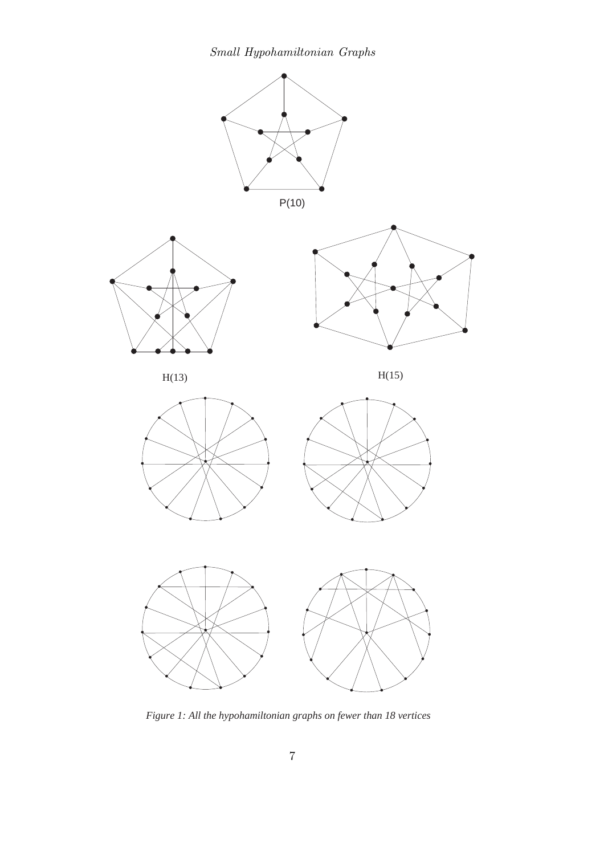Small Hypohamiltonian Graphs



*Figure 1: All the hypohamiltonian graphs on fewer than 18 vertices*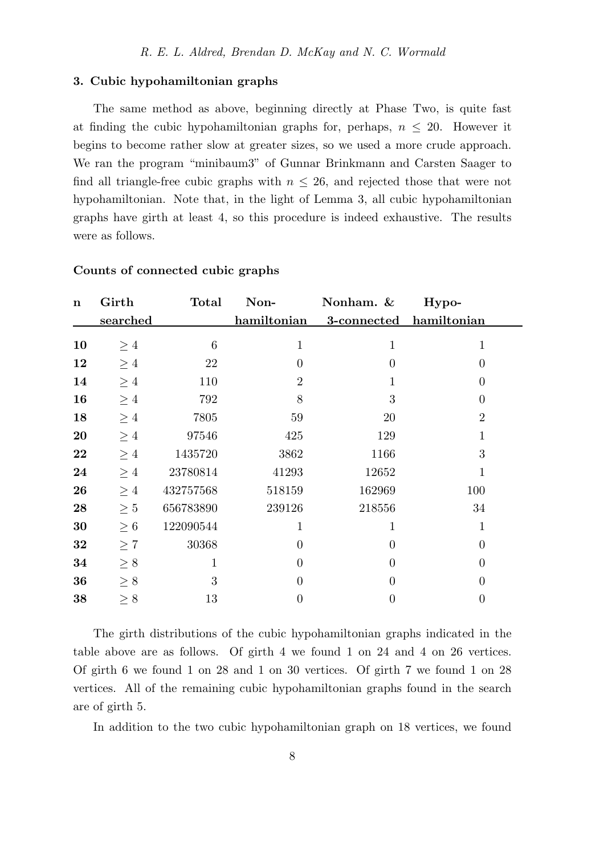## 3. Cubic hypohamiltonian graphs

The same method as above, beginning directly at Phase Two, is quite fast at finding the cubic hypohamiltonian graphs for, perhaps,  $n \leq 20$ . However it begins to become rather slow at greater sizes, so we used a more crude approach. We ran the program "minibaum3" of Gunnar Brinkmann and Carsten Saager to find all triangle-free cubic graphs with  $n \leq 26$ , and rejected those that were not hypohamiltonian. Note that, in the light of Lemma 3, all cubic hypohamiltonian graphs have girth at least 4, so this procedure is indeed exhaustive. The results were as follows.

| $\mathbf n$ | Girth           | <b>Total</b> | Non-           | Nonham. &               | Hypo-          |
|-------------|-----------------|--------------|----------------|-------------------------|----------------|
|             | <u>searched</u> |              | hamiltonian    | 3-connected hamiltonian |                |
| 10          | $\geq 4$        | 6            | $\mathbf{1}$   | $\mathbf{1}$            | $\mathbf{1}$   |
| 12          | $\geq 4$        | 22           | $\theta$       | $\overline{0}$          | $\overline{0}$ |
| 14          | $\geq 4$        | 110          | $\overline{2}$ | 1                       | $\overline{0}$ |
| 16          | $\geq 4$        | 792          | 8              | 3                       | $\overline{0}$ |
| 18          | $\geq 4$        | 7805         | 59             | 20                      | $\overline{2}$ |
| 20          | $\geq 4$        | 97546        | 425            | 129                     | $\mathbf{1}$   |
| 22          | $\geq 4$        | 1435720      | 3862           | 1166                    | 3              |
| 24          | $\geq 4$        | 23780814     | 41293          | 12652                   | $\mathbf{1}$   |
| 26          | $\geq 4$        | 432757568    | 518159         | 162969                  | 100            |
| 28          | $\geq 5$        | 656783890    | 239126         | 218556                  | 34             |
| 30          | $\geq 6$        | 122090544    | 1              | 1                       | $\mathbf{1}$   |
| 32          | $\geq 7$        | 30368        | $\overline{0}$ | $\Omega$                | $\overline{0}$ |
| 34          | $\geq 8$        | $\mathbf{1}$ | $\overline{0}$ | $\theta$                | $\overline{0}$ |
| 36          | $\geq 8$        | 3            | $\theta$       | $\theta$                | $\overline{0}$ |
| 38          | $\geq 8$        | 13           | 0              | $\overline{0}$          | $\overline{0}$ |
|             |                 |              |                |                         |                |

## Counts of connected cubic graphs

The girth distributions of the cubic hypohamiltonian graphs indicated in the table above are as follows. Of girth 4 we found 1 on 24 and 4 on 26 vertices. Of girth 6 we found 1 on 28 and 1 on 30 vertices. Of girth 7 we found 1 on 28 vertices. All of the remaining cubic hypohamiltonian graphs found in the search are of girth 5.

In addition to the two cubic hypohamiltonian graph on 18 vertices, we found